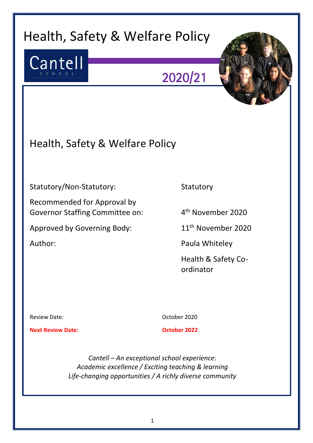# Health, Safety & Welfare Policy

Insert picture here



# 2020/21



# Health, Safety & Welfare Policy

Statutory/Non-Statutory: Statutory Statutory

Recommended for Approval by Governor Staffing Committee on: 4

Approved by Governing Body: 11<sup>th</sup> November 2020

4<sup>th</sup> November 2020

Author: Paula Whiteley

Health & Safety Coordinator

Review Date: Contract Contract Contract Contract Contract Contract Contract Contract Contract Contract Contract Contract Contract Contract Contract Contract Contract Contract Contract Contract Contract Contract Contract Co

**Next Review Date: COLOREY 2022** 

*Cantell – An exceptional school experience: Academic excellence / Exciting teaching & learning Life-changing opportunities / A richly diverse community*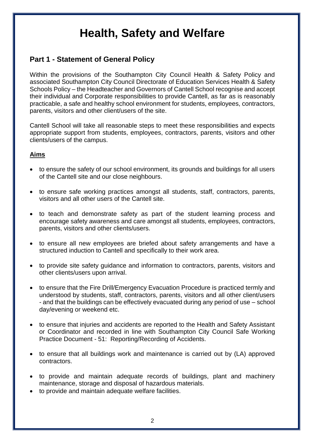# **Health, Safety and Welfare**

# **Part 1 - Statement of General Policy**

Within the provisions of the Southampton City Council Health & Safety Policy and associated Southampton City Council Directorate of Education Services Health & Safety Schools Policy – the Headteacher and Governors of Cantell School recognise and accept their individual and Corporate responsibilities to provide Cantell, as far as is reasonably practicable, a safe and healthy school environment for students, employees, contractors, parents, visitors and other client/users of the site.

Cantell School will take all reasonable steps to meet these responsibilities and expects appropriate support from students, employees, contractors, parents, visitors and other clients/users of the campus.

#### **Aims**

- to ensure the safety of our school environment, its grounds and buildings for all users of the Cantell site and our close neighbours.
- to ensure safe working practices amongst all students, staff, contractors, parents, visitors and all other users of the Cantell site.
- to teach and demonstrate safety as part of the student learning process and encourage safety awareness and care amongst all students, employees, contractors, parents, visitors and other clients/users.
- to ensure all new employees are briefed about safety arrangements and have a structured induction to Cantell and specifically to their work area.
- to provide site safety guidance and information to contractors, parents, visitors and other clients/users upon arrival.
- to ensure that the Fire Drill/Emergency Evacuation Procedure is practiced termly and understood by students, staff, contractors, parents, visitors and all other client/users - and that the buildings can be effectively evacuated during any period of use – school day/evening or weekend etc.
- to ensure that injuries and accidents are reported to the Health and Safety Assistant or Coordinator and recorded in line with Southampton City Council Safe Working Practice Document - 51: Reporting/Recording of Accidents.
- to ensure that all buildings work and maintenance is carried out by (LA) approved contractors.
- to provide and maintain adequate records of buildings, plant and machinery maintenance, storage and disposal of hazardous materials.
- to provide and maintain adequate welfare facilities.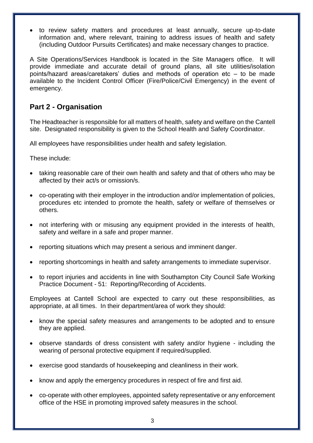to review safety matters and procedures at least annually, secure up-to-date information and, where relevant, training to address issues of health and safety (including Outdoor Pursuits Certificates) and make necessary changes to practice.

A Site Operations/Services Handbook is located in the Site Managers office. It will provide immediate and accurate detail of ground plans, all site utilities/isolation points/hazard areas/caretakers' duties and methods of operation etc – to be made available to the Incident Control Officer (Fire/Police/Civil Emergency) in the event of emergency.

# **Part 2 - Organisation**

The Headteacher is responsible for all matters of health, safety and welfare on the Cantell site. Designated responsibility is given to the School Health and Safety Coordinator.

All employees have responsibilities under health and safety legislation.

These include:

- taking reasonable care of their own health and safety and that of others who may be affected by their act/s or omission/s.
- co-operating with their employer in the introduction and/or implementation of policies, procedures etc intended to promote the health, safety or welfare of themselves or others.
- not interfering with or misusing any equipment provided in the interests of health, safety and welfare in a safe and proper manner.
- reporting situations which may present a serious and imminent danger.
- reporting shortcomings in health and safety arrangements to immediate supervisor.
- to report injuries and accidents in line with Southampton City Council Safe Working Practice Document - 51: Reporting/Recording of Accidents.

Employees at Cantell School are expected to carry out these responsibilities, as appropriate, at all times. In their department/area of work they should:

- know the special safety measures and arrangements to be adopted and to ensure they are applied.
- observe standards of dress consistent with safety and/or hygiene including the wearing of personal protective equipment if required/supplied.
- exercise good standards of housekeeping and cleanliness in their work.
- know and apply the emergency procedures in respect of fire and first aid.
- co-operate with other employees, appointed safety representative or any enforcement office of the HSE in promoting improved safety measures in the school.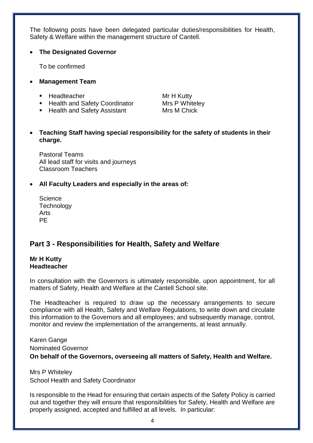The following posts have been delegated particular duties/responsibilities for Health, Safety & Welfare within the management structure of Cantell.

#### **The Designated Governor**

To be confirmed

- **Management Team**
	- Headteacher Mr H Kutty
	- Health and Safety Coordinator Mrs P Whiteley
	- Health and Safety Assistant Mrs M Chick

 **Teaching Staff having special responsibility for the safety of students in their charge.**

Pastoral Teams All lead staff for visits and journeys Classroom Teachers

## **All Faculty Leaders and especially in the areas of:**

**Science Technology** Arts PE

# **Part 3 - Responsibilities for Health, Safety and Welfare**

#### **Mr H Kutty Headteacher**

In consultation with the Governors is ultimately responsible, upon appointment, for all matters of Safety, Health and Welfare at the Cantell School site.

The Headteacher is required to draw up the necessary arrangements to secure compliance with all Health, Safety and Welfare Regulations, to write down and circulate this information to the Governors and all employees; and subsequently manage, control, monitor and review the implementation of the arrangements, at least annually.

## Karen Gange Nominated Governor **On behalf of the Governors, overseeing all matters of Safety, Health and Welfare.**

Mrs P Whiteley School Health and Safety Coordinator

Is responsible to the Head for ensuring that certain aspects of the Safety Policy is carried out and together they will ensure that responsibilities for Safety, Health and Welfare are properly assigned, accepted and fulfilled at all levels. In particular: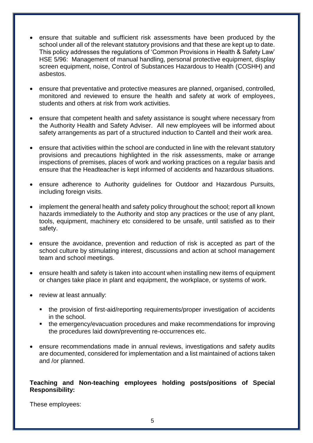- ensure that suitable and sufficient risk assessments have been produced by the school under all of the relevant statutory provisions and that these are kept up to date. This policy addresses the regulations of 'Common Provisions in Health & Safety Law' HSE 5/96: Management of manual handling, personal protective equipment, display screen equipment, noise, Control of Substances Hazardous to Health (COSHH) and asbestos.
- ensure that preventative and protective measures are planned, organised, controlled, monitored and reviewed to ensure the health and safety at work of employees, students and others at risk from work activities.
- ensure that competent health and safety assistance is sought where necessary from the Authority Health and Safety Adviser. All new employees will be informed about safety arrangements as part of a structured induction to Cantell and their work area.
- ensure that activities within the school are conducted in line with the relevant statutory provisions and precautions highlighted in the risk assessments, make or arrange inspections of premises, places of work and working practices on a regular basis and ensure that the Headteacher is kept informed of accidents and hazardous situations.
- ensure adherence to Authority guidelines for Outdoor and Hazardous Pursuits, including foreign visits.
- implement the general health and safety policy throughout the school; report all known hazards immediately to the Authority and stop any practices or the use of any plant, tools, equipment, machinery etc considered to be unsafe, until satisfied as to their safety.
- ensure the avoidance, prevention and reduction of risk is accepted as part of the school culture by stimulating interest, discussions and action at school management team and school meetings.
- ensure health and safety is taken into account when installing new items of equipment or changes take place in plant and equipment, the workplace, or systems of work.
- review at least annually:
	- the provision of first-aid/reporting requirements/proper investigation of accidents in the school.
	- the emergency/evacuation procedures and make recommendations for improving the procedures laid down/preventing re-occurrences etc.
- ensure recommendations made in annual reviews, investigations and safety audits are documented, considered for implementation and a list maintained of actions taken and /or planned.

#### **Teaching and Non-teaching employees holding posts/positions of Special Responsibility:**

These employees: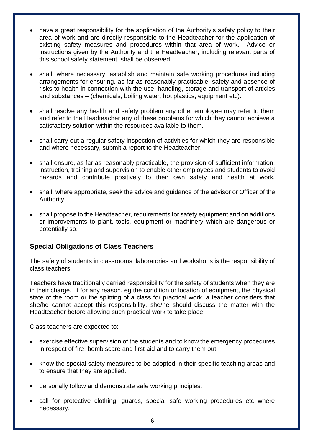- have a great responsibility for the application of the Authority's safety policy to their area of work and are directly responsible to the Headteacher for the application of existing safety measures and procedures within that area of work. Advice or instructions given by the Authority and the Headteacher, including relevant parts of this school safety statement, shall be observed.
- shall, where necessary, establish and maintain safe working procedures including arrangements for ensuring, as far as reasonably practicable, safety and absence of risks to health in connection with the use, handling, storage and transport of articles and substances – (chemicals, boiling water, hot plastics, equipment etc).
- shall resolve any health and safety problem any other employee may refer to them and refer to the Headteacher any of these problems for which they cannot achieve a satisfactory solution within the resources available to them.
- shall carry out a regular safety inspection of activities for which they are responsible and where necessary, submit a report to the Headteacher.
- shall ensure, as far as reasonably practicable, the provision of sufficient information, instruction, training and supervision to enable other employees and students to avoid hazards and contribute positively to their own safety and health at work.
- shall, where appropriate, seek the advice and guidance of the advisor or Officer of the Authority.
- shall propose to the Headteacher, requirements for safety equipment and on additions or improvements to plant, tools, equipment or machinery which are dangerous or potentially so.

# **Special Obligations of Class Teachers**

The safety of students in classrooms, laboratories and workshops is the responsibility of class teachers.

Teachers have traditionally carried responsibility for the safety of students when they are in their charge. If for any reason, eg the condition or location of equipment, the physical state of the room or the splitting of a class for practical work, a teacher considers that she/he cannot accept this responsibility, she/he should discuss the matter with the Headteacher before allowing such practical work to take place.

Class teachers are expected to:

- exercise effective supervision of the students and to know the emergency procedures in respect of fire, bomb scare and first aid and to carry them out.
- know the special safety measures to be adopted in their specific teaching areas and to ensure that they are applied.
- personally follow and demonstrate safe working principles.
- call for protective clothing, guards, special safe working procedures etc where necessary.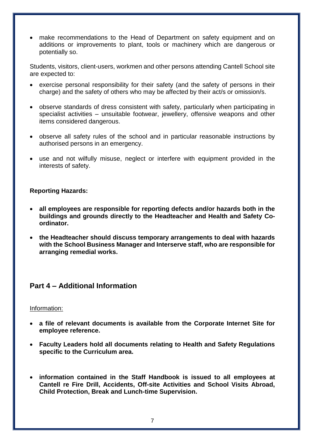make recommendations to the Head of Department on safety equipment and on additions or improvements to plant, tools or machinery which are dangerous or potentially so.

Students, visitors, client-users, workmen and other persons attending Cantell School site are expected to:

- exercise personal responsibility for their safety (and the safety of persons in their charge) and the safety of others who may be affected by their act/s or omission/s.
- observe standards of dress consistent with safety, particularly when participating in specialist activities – unsuitable footwear, jewellery, offensive weapons and other items considered dangerous.
- observe all safety rules of the school and in particular reasonable instructions by authorised persons in an emergency.
- use and not wilfully misuse, neglect or interfere with equipment provided in the interests of safety.

### **Reporting Hazards:**

- **all employees are responsible for reporting defects and/or hazards both in the buildings and grounds directly to the Headteacher and Health and Safety Coordinator.**
- **the Headteacher should discuss temporary arrangements to deal with hazards with the School Business Manager and Interserve staff, who are responsible for arranging remedial works.**

# **Part 4 – Additional Information**

#### Information:

- **a file of relevant documents is available from the Corporate Internet Site for employee reference.**
- **Faculty Leaders hold all documents relating to Health and Safety Regulations specific to the Curriculum area.**
- **information contained in the Staff Handbook is issued to all employees at Cantell re Fire Drill, Accidents, Off-site Activities and School Visits Abroad, Child Protection, Break and Lunch-time Supervision.**